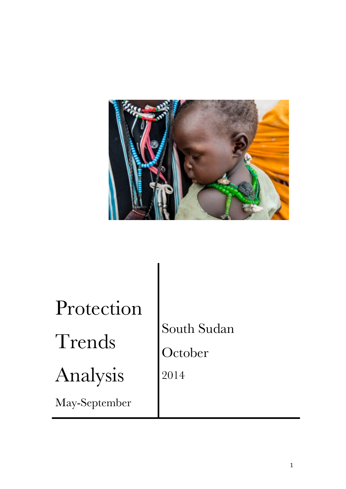

| Protection    |             |
|---------------|-------------|
| Trends        | South Sudan |
|               | October     |
| Analysis      | 2014        |
| May-September |             |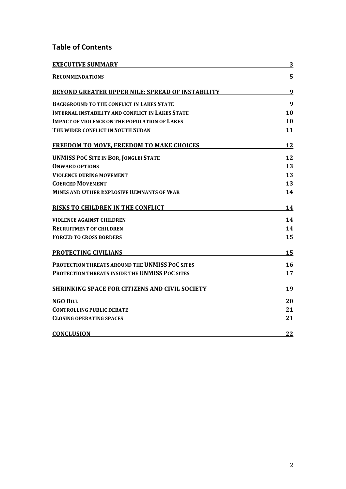# **Table of Contents**

| <b>EXECUTIVE SUMMARY</b>                                | 3  |  |
|---------------------------------------------------------|----|--|
| <b>RECOMMENDATIONS</b>                                  | 5  |  |
| BEYOND GREATER UPPER NILE: SPREAD OF INSTABILITY        | 9  |  |
| <b>BACKGROUND TO THE CONFLICT IN LAKES STATE</b>        | 9  |  |
| <b>INTERNAL INSTABILITY AND CONFLICT IN LAKES STATE</b> | 10 |  |
| <b>IMPACT OF VIOLENCE ON THE POPULATION OF LAKES</b>    | 10 |  |
| THE WIDER CONFLICT IN SOUTH SUDAN                       | 11 |  |
| FREEDOM TO MOVE, FREEDOM TO MAKE CHOICES                | 12 |  |
| <b>UNMISS POC SITE IN BOR, JONGLEI STATE</b>            | 12 |  |
| <b>ONWARD OPTIONS</b>                                   | 13 |  |
| <b>VIOLENCE DURING MOVEMENT</b>                         | 13 |  |
| <b>COERCED MOVEMENT</b>                                 | 13 |  |
| <b>MINES AND OTHER EXPLOSIVE REMNANTS OF WAR</b>        | 14 |  |
| <b>RISKS TO CHILDREN IN THE CONFLICT</b>                | 14 |  |
| <b>VIOLENCE AGAINST CHILDREN</b>                        | 14 |  |
| <b>RECRUITMENT OF CHILDREN</b>                          | 14 |  |
| <b>FORCED TO CROSS BORDERS</b>                          | 15 |  |
| <b>PROTECTING CIVILIANS</b>                             | 15 |  |
| <b>PROTECTION THREATS AROUND THE UNMISS POC SITES</b>   | 16 |  |
| <b>PROTECTION THREATS INSIDE THE UNMISS POC SITES</b>   | 17 |  |
| <b>SHRINKING SPACE FOR CITIZENS AND CIVIL SOCIETY</b>   | 19 |  |
| <b>NGO BILL</b>                                         | 20 |  |
| <b>CONTROLLING PUBLIC DEBATE</b>                        | 21 |  |
| <b>CLOSING OPERATING SPACES</b>                         | 21 |  |
| <b>CONCLUSION</b>                                       | 22 |  |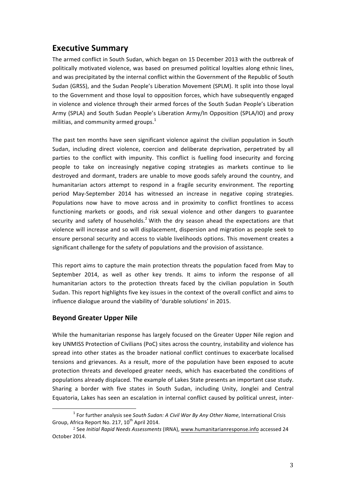# **Executive Summary**

The armed conflict in South Sudan, which began on 15 December 2013 with the outbreak of politically motivated violence, was based on presumed political loyalties along ethnic lines, and was precipitated by the internal conflict within the Government of the Republic of South Sudan (GRSS), and the Sudan People's Liberation Movement (SPLM). It split into those loyal to the Government and those loyal to opposition forces, which have subsequently engaged in violence and violence through their armed forces of the South Sudan People's Liberation Army (SPLA) and South Sudan People's Liberation Army/In Opposition (SPLA/IO) and proxy militias, and community armed groups. $<sup>1</sup>$ </sup>

The past ten months have seen significant violence against the civilian population in South Sudan, including direct violence, coercion and deliberate deprivation, perpetrated by all parties to the conflict with impunity. This conflict is fuelling food insecurity and forcing people to take on increasingly negative coping strategies as markets continue to lie destroyed and dormant, traders are unable to move goods safely around the country, and humanitarian actors attempt to respond in a fragile security environment. The reporting period May-September 2014 has witnessed an increase in negative coping strategies. Populations now have to move across and in proximity to conflict frontlines to access functioning markets or goods, and risk sexual violence and other dangers to guarantee security and safety of households.<sup>2</sup> With the dry season ahead the expectations are that violence will increase and so will displacement, dispersion and migration as people seek to ensure personal security and access to viable livelihoods options. This movement creates a significant challenge for the safety of populations and the provision of assistance.

This report aims to capture the main protection threats the population faced from May to September 2014, as well as other key trends. It aims to inform the response of all humanitarian actors to the protection threats faced by the civilian population in South Sudan. This report highlights five key issues in the context of the overall conflict and aims to influence dialogue around the viability of 'durable solutions' in 2015.

### **Beyond Greater Upper Nile**

While the humanitarian response has largely focused on the Greater Upper Nile region and key UNMISS Protection of Civilians (PoC) sites across the country, instability and violence has spread into other states as the broader national conflict continues to exacerbate localised tensions and grievances. As a result, more of the population have been exposed to acute protection threats and developed greater needs, which has exacerbated the conditions of populations already displaced. The example of Lakes State presents an important case study. Sharing a border with five states in South Sudan, including Unity, Jonglei and Central Equatoria, Lakes has seen an escalation in internal conflict caused by political unrest, inter-

<sup>&</sup>lt;sup>1</sup> For further analysis see *South Sudan: A Civil War By Any Other Name*, International Crisis Group, Africa Report No. 217, 10<sup>th</sup> April 2014.

<sup>&</sup>lt;sup>2</sup> See *Initial Rapid Needs Assessments* (IRNA), www.humanitarianresponse.info accessed 24 October 2014.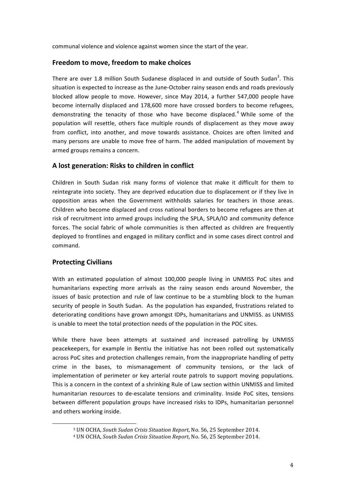communal violence and violence against women since the start of the year.

#### **Freedom to move, freedom to make choices**

There are over 1.8 million South Sudanese displaced in and outside of South Sudan<sup>3</sup>. This situation is expected to increase as the June-October rainy season ends and roads previously blocked allow people to move. However, since May 2014, a further 547,000 people have become internally displaced and 178,600 more have crossed borders to become refugees, demonstrating the tenacity of those who have become displaced.<sup>4</sup> While some of the population will resettle, others face multiple rounds of displacement as they move away from conflict, into another, and move towards assistance. Choices are often limited and many persons are unable to move free of harm. The added manipulation of movement by armed groups remains a concern.

#### **A lost generation: Risks to children in conflict**

Children in South Sudan risk many forms of violence that make it difficult for them to reintegrate into society. They are deprived education due to displacement or if they live in opposition areas when the Government withholds salaries for teachers in those areas. Children who become displaced and cross national borders to become refugees are then at risk of recruitment into armed groups including the SPLA, SPLA/IO and community defence forces. The social fabric of whole communities is then affected as children are frequently deployed to frontlines and engaged in military conflict and in some cases direct control and command. 

### **Protecting Civilians**

 

With an estimated population of almost 100,000 people living in UNMISS PoC sites and humanitarians expecting more arrivals as the rainy season ends around November, the issues of basic protection and rule of law continue to be a stumbling block to the human security of people in South Sudan. As the population has expanded, frustrations related to deteriorating conditions have grown amongst IDPs, humanitarians and UNMISS. as UNMISS is unable to meet the total protection needs of the population in the POC sites.

While there have been attempts at sustained and increased patrolling by UNMISS peacekeepers, for example in Bentiu the initiative has not been rolled out systematically across PoC sites and protection challenges remain, from the inappropriate handling of petty crime in the bases, to mismanagement of community tensions, or the lack of implementation of perimeter or key arterial route patrols to support moving populations. This is a concern in the context of a shrinking Rule of Law section within UNMISS and limited humanitarian resources to de-escalate tensions and criminality. Inside PoC sites, tensions between different population groups have increased risks to IDPs, humanitarian personnel and others working inside.

<sup>&</sup>lt;sup>3</sup> UN OCHA, *South Sudan Crisis Situation Report*, No. 56, 25 September 2014.

<sup>4</sup> UN OCHA, *South Sudan Crisis Situation Report*, No. 56, 25 September 2014.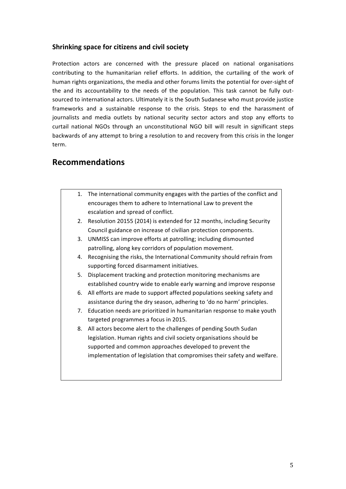### **Shrinking space for citizens and civil society**

Protection actors are concerned with the pressure placed on national organisations contributing to the humanitarian relief efforts. In addition, the curtailing of the work of human rights organizations, the media and other forums limits the potential for over-sight of the and its accountability to the needs of the population. This task cannot be fully outsourced to international actors. Ultimately it is the South Sudanese who must provide justice frameworks and a sustainable response to the crisis. Steps to end the harassment of journalists and media outlets by national security sector actors and stop any efforts to curtail national NGOs through an unconstitutional NGO bill will result in significant steps backwards of any attempt to bring a resolution to and recovery from this crisis in the longer term. 

### **Recommendations**

| 1. | The international community engages with the parties of the conflict and |
|----|--------------------------------------------------------------------------|
|    | encourages them to adhere to International Law to prevent the            |
|    | escalation and spread of conflict.                                       |
| 2. | Resolution 20155 (2014) is extended for 12 months, including Security    |
|    | Council guidance on increase of civilian protection components.          |
| 3. | UNMISS can improve efforts at patrolling; including dismounted           |
|    | patrolling, along key corridors of population movement.                  |
| 4. | Recognising the risks, the International Community should refrain from   |
|    | supporting forced disarmament initiatives.                               |
| 5. | Displacement tracking and protection monitoring mechanisms are           |
|    | established country wide to enable early warning and improve response    |
| 6. | All efforts are made to support affected populations seeking safety and  |
|    | assistance during the dry season, adhering to 'do no harm' principles.   |
| 7. | Education needs are prioritized in humanitarian response to make youth   |
|    | targeted programmes a focus in 2015.                                     |
| 8. | All actors become alert to the challenges of pending South Sudan         |
|    | legislation. Human rights and civil society organisations should be      |
|    | supported and common approaches developed to prevent the                 |
|    | implementation of legislation that compromises their safety and welfare. |
|    |                                                                          |
|    |                                                                          |
|    |                                                                          |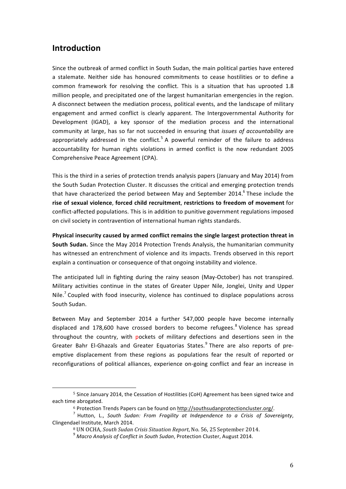### **Introduction**

Since the outbreak of armed conflict in South Sudan, the main political parties have entered a stalemate. Neither side has honoured commitments to cease hostilities or to define a common framework for resolving the conflict. This is a situation that has uprooted 1.8 million people, and precipitated one of the largest humanitarian emergencies in the region. A disconnect between the mediation process, political events, and the landscape of military engagement and armed conflict is clearly apparent. The Intergovernmental Authority for Development (IGAD), a key sponsor of the mediation process and the international community at large, has so far not succeeded in ensuring that *issues of accountability* are appropriately addressed in the conflict.<sup>5</sup> A powerful reminder of the failure to address accountability for human rights violations in armed conflict is the now redundant 2005 Comprehensive Peace Agreement (CPA).

This is the third in a series of protection trends analysis papers (January and May 2014) from the South Sudan Protection Cluster. It discusses the critical and emerging protection trends that have characterized the period between May and September 2014. $^6$  These include the rise of sexual violence, forced child recruitment, restrictions to freedom of movement for conflict-affected populations. This is in addition to punitive government regulations imposed on civil society in contravention of international human rights standards.

Physical insecurity caused by armed conflict remains the single largest protection threat in **South Sudan.** Since the May 2014 Protection Trends Analysis, the humanitarian community has witnessed an entrenchment of violence and its impacts. Trends observed in this report explain a continuation or consequence of that ongoing instability and violence.

The anticipated lull in fighting during the rainy season (May-October) has not transpired. Military activities continue in the states of Greater Upper Nile, Jonglei, Unity and Upper Nile.<sup>7</sup> Coupled with food insecurity, violence has continued to displace populations across South Sudan.

Between May and September 2014 a further 547,000 people have become internally displaced and 178,600 have crossed borders to become refugees.<sup>8</sup> Violence has spread throughout the country, with pockets of military defections and desertions seen in the Greater Bahr El-Ghazals and Greater Equatorias States.<sup>9</sup> There are also reports of preemptive displacement from these regions as populations fear the result of reported or reconfigurations of political alliances, experience on-going conflict and fear an increase in

<u> 1989 - Johann Stein, marwolaethau a bh</u>

<sup>&</sup>lt;sup>5</sup> Since January 2014, the Cessation of Hostilities (CoH) Agreement has been signed twice and each time abrogated.

<sup>&</sup>lt;sup>6</sup> Protection Trends Papers can be found on http://southsudanprotectioncluster.org/.<br><sup>7</sup> Hutton, L., *South Sudan: From Fragility at Independence to a Crisis of Sovereignty,* Clingendael Institute, March 2014.<br><sup>8</sup> UN OCHA, *South Sudan Crisis Situation Report*, No. 56, 25 September 2014.

<sup>&</sup>lt;sup>9</sup> Macro Analysis of Conflict in South Sudan, Protection Cluster, August 2014.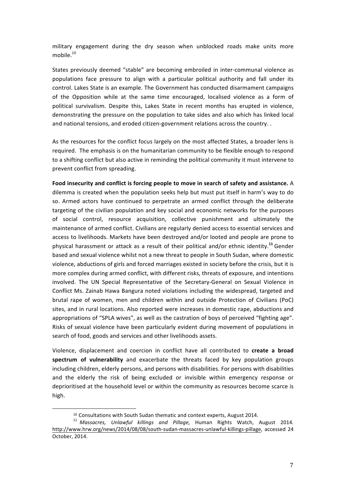military engagement during the dry season when unblocked roads make units more mobile. 10

States previously deemed "stable" are becoming embroiled in inter-communal violence as populations face pressure to align with a particular political authority and fall under its control. Lakes State is an example. The Government has conducted disarmament campaigns of the Opposition while at the same time encouraged, localised violence as a form of political survivalism. Despite this, Lakes State in recent months has erupted in violence, demonstrating the pressure on the population to take sides and also which has linked local and national tensions, and eroded citizen-government relations across the country. .

As the resources for the conflict focus largely on the most affected States, a broader lens is required. The emphasis is on the humanitarian community to be flexible enough to respond to a shifting conflict but also active in reminding the political community it must intervene to prevent conflict from spreading.

Food insecurity and conflict is forcing people to move in search of safety and assistance. A dilemma is created when the population seeks help but must put itself in harm's way to do so. Armed actors have continued to perpetrate an armed conflict through the deliberate targeting of the civilian population and key social and economic networks for the purposes of social control, resource acquisition, collective punishment and ultimately the maintenance of armed conflict. Civilians are regularly denied access to essential services and access to livelihoods. Markets have been destroyed and/or looted and people are prone to physical harassment or attack as a result of their political and/or ethnic identity.<sup>11</sup> Gender based and sexual violence whilst not a new threat to people in South Sudan, where domestic violence, abductions of girls and forced marriages existed in society before the crisis, but it is more complex during armed conflict, with different risks, threats of exposure, and intentions involved. The UN Special Representative of the Secretary-General on Sexual Violence in Conflict Ms. Zainab Hawa Bangura noted violations including the widespread, targeted and brutal rape of women, men and children within and outside Protection of Civilians (PoC) sites, and in rural locations. Also reported were increases in domestic rape, abductions and appropriations of "SPLA wives", as well as the castration of boys of perceived "fighting age". Risks of sexual violence have been particularly evident during movement of populations in search of food, goods and services and other livelihoods assets.

Violence, displacement and coercion in conflict have all contributed to create a broad **spectrum of vulnerability** and exacerbate the threats faced by key population groups including children, elderly persons, and persons with disabilities. For persons with disabilities and the elderly the risk of being excluded or invisible within emergency response or deprioritised at the household level or within the community as resources become scarce is high. 

<u> 1989 - Johann Stein, marwolaethau a bh</u>

<sup>&</sup>lt;sup>10</sup> Consultations with South Sudan thematic and context experts, August 2014.<br><sup>11</sup> *Massacres, Unlawful killings and Pillage,* Human Rights Watch, August 2014. http://www.hrw.org/news/2014/08/08/south-sudan-massacres-unlawful-killings-pillage, accessed 24 October, 2014.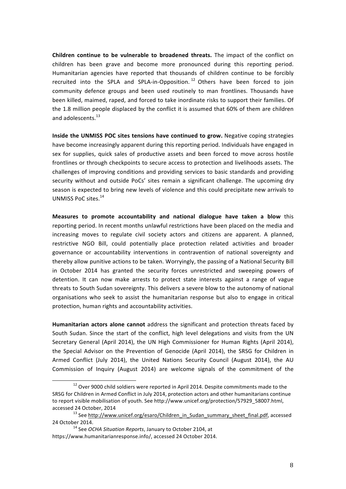**Children continue to be vulnerable to broadened threats.** The impact of the conflict on children has been grave and become more pronounced during this reporting period. Humanitarian agencies have reported that thousands of children continue to be forcibly recruited into the SPLA and SPLA-in-Opposition.<sup>12</sup> Others have been forced to join community defence groups and been used routinely to man frontlines. Thousands have been killed, maimed, raped, and forced to take inordinate risks to support their families. Of the 1.8 million people displaced by the conflict it is assumed that 60% of them are children and adolescents.<sup>13</sup>

**Inside the UNMISS POC sites tensions have continued to grow.** Negative coping strategies have become increasingly apparent during this reporting period. Individuals have engaged in sex for supplies, quick sales of productive assets and been forced to move across hostile frontlines or through checkpoints to secure access to protection and livelihoods assets. The challenges of improving conditions and providing services to basic standards and providing security without and outside PoCs' sites remain a significant challenge. The upcoming dry season is expected to bring new levels of violence and this could precipitate new arrivals to UNMISS PoC sites.<sup>14</sup>

**Measures to promote accountability and national dialogue have taken a blow** this reporting period. In recent months unlawful restrictions have been placed on the media and increasing moves to regulate civil society actors and citizens are apparent. A planned, restrictive NGO Bill, could potentially place protection related activities and broader governance or accountability interventions in contravention of national sovereignty and thereby allow punitive actions to be taken. Worryingly, the passing of a National Security Bill in October 2014 has granted the security forces unrestricted and sweeping powers of detention. It can now make arrests to protect state interests against a range of vague threats to South Sudan sovereignty. This delivers a severe blow to the autonomy of national organisations who seek to assist the humanitarian response but also to engage in critical protection, human rights and accountability activities.

**Humanitarian actors alone cannot** address the significant and protection threats faced by South Sudan. Since the start of the conflict, high level delegations and visits from the UN Secretary General (April 2014), the UN High Commissioner for Human Rights (April 2014), the Special Advisor on the Prevention of Genocide (April 2014), the SRSG for Children in Armed Conflict (July 2014), the United Nations Security Council (August 2014), the AU Commission of Inquiry (August 2014) are welcome signals of the commitment of the

 $12$  Over 9000 child soldiers were reported in April 2014. Despite commitments made to the SRSG for Children in Armed Conflict in July 2014, protection actors and other humanitarians continue to report visible mobilisation of youth. See http://www.unicef.org/protection/57929\_58007.html, accessed 24 October, 2014<br><sup>13</sup> See http://www.unicef.org/esaro/Children\_in\_Sudan\_summary\_sheet\_final.pdf, accessed

<sup>24</sup> October 2014.<br><sup>14</sup> See *OCHA Situation Reports*, January to October 2104, at

https://www.humanitarianresponse.info/, accessed 24 October 2014.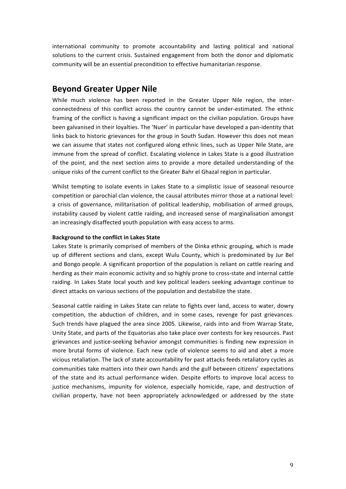international community to promote accountability and lasting political and national solutions to the current crisis. Sustained engagement from both the donor and diplomatic community will be an essential precondition to effective humanitarian response.

# **Beyond Greater Upper Nile**

While much violence has been reported in the Greater Upper Nile region, the interconnectedness of this conflict across the country cannot be under-estimated. The ethnic framing of the conflict is having a significant impact on the civilian population. Groups have been galvanised in their loyalties. The 'Nuer' in particular have developed a pan-identity that links back to historic grievances for the group in South Sudan. However this does not mean we can assume that states not configured along ethnic lines, such as Upper Nile State, are immune from the spread of conflict. Escalating violence in Lakes State is a good illustration of the point, and the next section aims to provide a more detailed understanding of the unique risks of the current conflict to the Greater Bahr el Ghazal region in particular.

Whilst tempting to isolate events in Lakes State to a simplistic issue of seasonal resource competition or parochial clan violence, the causal attributes mirror those at a national level: a crisis of governance, militarisation of political leadership, mobilisation of armed groups, instability caused by violent cattle raiding, and increased sense of marginalisation amongst an increasingly disaffected youth population with easy access to arms.

#### **Background to the conflict in Lakes State**

Lakes State is primarily comprised of members of the Dinka ethnic grouping, which is made up of different sections and clans, except Wulu County, which is predominated by Jur Bel and Bongo people. A significant proportion of the population is reliant on cattle rearing and herding as their main economic activity and so highly prone to cross-state and internal cattle raiding. In Lakes State local youth and key political leaders seeking advantage continue to direct attacks on various sections of the population and destabilize the state.

Seasonal cattle raiding in Lakes State can relate to fights over land, access to water, dowry competition, the abduction of children, and in some cases, revenge for past grievances. Such trends have plagued the area since 2005. Likewise, raids into and from Warrap State, Unity State, and parts of the Equatorias also take place over contests for key resources. Past grievances and justice-seeking behavior amongst communities is finding new expression in more brutal forms of violence. Each new cycle of violence seems to aid and abet a more vicious retaliation. The lack of state accountability for past attacks feeds retaliatory cycles as communities take matters into their own hands and the gulf between citizens' expectations of the state and its actual performance widen. Despite efforts to improve local access to justice mechanisms, impunity for violence, especially homicide, rape, and destruction of civilian property, have not been appropriately acknowledged or addressed by the state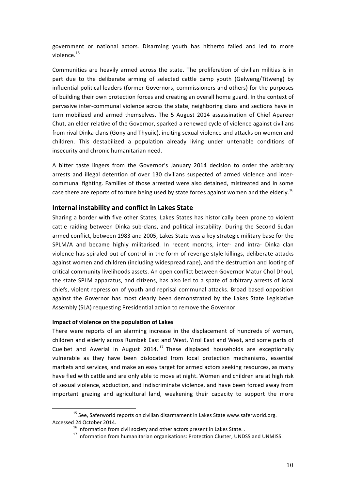government or national actors. Disarming youth has hitherto failed and led to more violence.<sup>15</sup>

Communities are heavily armed across the state. The proliferation of civilian militias is in part due to the deliberate arming of selected cattle camp youth (Gelweng/Titweng) by influential political leaders (former Governors, commissioners and others) for the purposes of building their own protection forces and creating an overall home guard. In the context of pervasive inter-communal violence across the state, neighboring clans and sections have in turn mobilized and armed themselves. The 5 August 2014 assassination of Chief Apareer Chut, an elder relative of the Governor, sparked a renewed cycle of violence against civilians from rival Dinka clans (Gony and Thyuiic), inciting sexual violence and attacks on women and children. This destabilized a population already living under untenable conditions of insecurity and chronic humanitarian need.

A bitter taste lingers from the Governor's January 2014 decision to order the arbitrary arrests and illegal detention of over 130 civilians suspected of armed violence and intercommunal fighting. Families of those arrested were also detained, mistreated and in some case there are reports of torture being used by state forces against women and the elderly.<sup>16</sup>

#### **Internal instability and conflict in Lakes State**

Sharing a border with five other States, Lakes States has historically been prone to violent cattle raiding between Dinka sub-clans, and political instability. During the Second Sudan armed conflict, between 1983 and 2005, Lakes State was a key strategic military base for the SPLM/A and became highly militarised. In recent months, inter- and intra- Dinka clan violence has spiraled out of control in the form of revenge style killings, deliberate attacks against women and children (including widespread rape), and the destruction and looting of critical community livelihoods assets. An open conflict between Governor Matur Chol Dhoul, the state SPLM apparatus, and citizens, has also led to a spate of arbitrary arrests of local chiefs, violent repression of youth and reprisal communal attacks. Broad based opposition against the Governor has most clearly been demonstrated by the Lakes State Legislative Assembly (SLA) requesting Presidential action to remove the Governor.

#### **Impact of violence on the population of Lakes**

There were reports of an alarming increase in the displacement of hundreds of women, children and elderly across Rumbek East and West, Yirol East and West, and some parts of Cueibet and Awerial in August 2014.<sup>17</sup> These displaced households are exceptionally vulnerable as they have been dislocated from local protection mechanisms, essential markets and services, and make an easy target for armed actors seeking resources, as many have fled with cattle and are only able to move at night. Women and children are at high risk of sexual violence, abduction, and indiscriminate violence, and have been forced away from important grazing and agricultural land, weakening their capacity to support the more

 $15$  See, Saferworld reports on civilian disarmament in Lakes State  $www.saferworld.org$ . Accessed 24 October 2014.<br><sup>16</sup> Information from civil society and other actors present in Lakes State. .<br><sup>17</sup> Information from humanitarian organisations: Protection Cluster, UNDSS and UNMISS.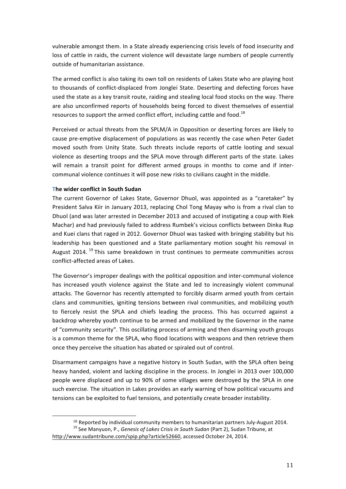vulnerable amongst them. In a State already experiencing crisis levels of food insecurity and loss of cattle in raids, the current violence will devastate large numbers of people currently outside of humanitarian assistance.

The armed conflict is also taking its own toll on residents of Lakes State who are playing host to thousands of conflict-displaced from Jonglei State. Deserting and defecting forces have used the state as a key transit route, raiding and stealing local food stocks on the way. There are also unconfirmed reports of households being forced to divest themselves of essential resources to support the armed conflict effort, including cattle and food.<sup>18</sup>

Perceived or actual threats from the SPLM/A in Opposition or deserting forces are likely to cause pre-emptive displacement of populations as was recently the case when Peter Gadet moved south from Unity State. Such threats include reports of cattle looting and sexual violence as deserting troops and the SPLA move through different parts of the state. Lakes will remain a transit point for different armed groups in months to come and if intercommunal violence continues it will pose new risks to civilians caught in the middle.

#### **The wider conflict in South Sudan**

 

The current Governor of Lakes State, Governor Dhuol, was appointed as a "caretaker" by President Salva Kiir in January 2013, replacing Chol Tong Mayay who is from a rival clan to Dhuol (and was later arrested in December 2013 and accused of instigating a coup with Riek Machar) and had previously failed to address Rumbek's vicious conflicts between Dinka Rup and Kuei clans that raged in 2012. Governor Dhuol was tasked with bringing stability but his leadership has been questioned and a State parliamentary motion sought his removal in August 2014.<sup>19</sup> This same breakdown in trust continues to permeate communities across conflict-affected areas of Lakes.

The Governor's improper dealings with the political opposition and inter-communal violence has increased youth violence against the State and led to increasingly violent communal attacks. The Governor has recently attempted to forcibly disarm armed youth from certain clans and communities, igniting tensions between rival communities, and mobilizing youth to fiercely resist the SPLA and chiefs leading the process. This has occurred against a backdrop whereby youth continue to be armed and mobilized by the Governor in the name of "community security". This oscillating process of arming and then disarming youth groups is a common theme for the SPLA, who flood locations with weapons and then retrieve them once they perceive the situation has abated or spiraled out of control.

Disarmament campaigns have a negative history in South Sudan, with the SPLA often being heavy handed, violent and lacking discipline in the process. In Jonglei in 2013 over 100,000 people were displaced and up to 90% of some villages were destroyed by the SPLA in one such exercise. The situation in Lakes provides an early warning of how political vacuums and tensions can be exploited to fuel tensions, and potentially create broader instability.

<sup>&</sup>lt;sup>18</sup> Reported by individual community members to humanitarian partners July-August 2014.<br><sup>19</sup> See Manyuon, P., *Genesis of Lakes Crisis in South Sudan* (Part 2), Sudan Tribune, at

http://www.sudantribune.com/spip.php?article52660, accessed October 24, 2014.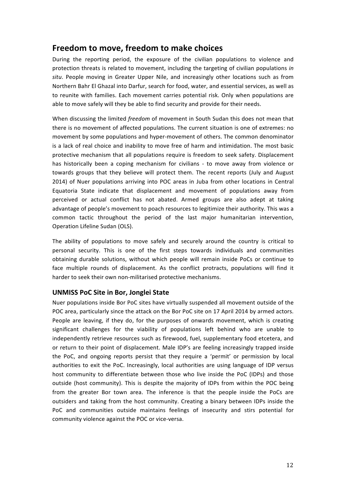## **Freedom to move, freedom to make choices**

During the reporting period, the exposure of the civilian populations to violence and protection threats is related to movement, including the targeting of civilian populations in situ. People moving in Greater Upper Nile, and increasingly other locations such as from Northern Bahr El Ghazal into Darfur, search for food, water, and essential services, as well as to reunite with families. Each movement carries potential risk. Only when populations are able to move safely will they be able to find security and provide for their needs.

When discussing the limited *freedom* of movement in South Sudan this does not mean that there is no movement of affected populations. The current situation is one of extremes: no movement by some populations and hyper-movement of others. The common denominator is a lack of real choice and inability to move free of harm and intimidation. The most basic protective mechanism that all populations require is freedom to seek safety. Displacement has historically been a coping mechanism for civilians - to move away from violence or towards groups that they believe will protect them. The recent reports (July and August 2014) of Nuer populations arriving into POC areas in Juba from other locations in Central Equatoria State indicate that displacement and movement of populations away from perceived or actual conflict has not abated. Armed groups are also adept at taking advantage of people's movement to poach resources to legitimize their authority. This was a common tactic throughout the period of the last major humanitarian intervention, Operation Lifeline Sudan (OLS).

The ability of populations to move safely and securely around the country is critical to personal security. This is one of the first steps towards individuals and communities obtaining durable solutions, without which people will remain inside PoCs or continue to face multiple rounds of displacement. As the conflict protracts, populations will find it harder to seek their own non-militarised protective mechanisms.

### **UNMISS PoC Site in Bor, Jonglei State**

Nuer populations inside Bor PoC sites have virtually suspended all movement outside of the POC area, particularly since the attack on the Bor PoC site on 17 April 2014 by armed actors. People are leaving, if they do, for the purposes of onwards movement, which is creating significant challenges for the viability of populations left behind who are unable to independently retrieve resources such as firewood, fuel, supplementary food etcetera, and or return to their point of displacement. Male IDP's are feeling increasingly trapped inside the PoC, and ongoing reports persist that they require a 'permit' or permission by local authorities to exit the PoC. Increasingly, local authorities are using language of IDP versus host community to differentiate between those who live inside the PoC (IDPs) and those outside (host community). This is despite the majority of IDPs from within the POC being from the greater Bor town area. The inference is that the people inside the PoCs are outsiders and taking from the host community. Creating a binary between IDPs inside the PoC and communities outside maintains feelings of insecurity and stirs potential for community violence against the POC or vice-versa.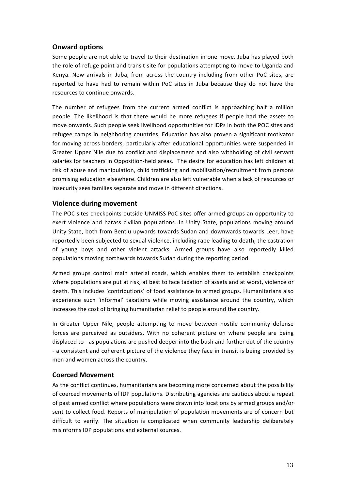#### **Onward options**

Some people are not able to travel to their destination in one move. Juba has played both the role of refuge point and transit site for populations attempting to move to Uganda and Kenya. New arrivals in Juba, from across the country including from other PoC sites, are reported to have had to remain within PoC sites in Juba because they do not have the resources to continue onwards.

The number of refugees from the current armed conflict is approaching half a million people. The likelihood is that there would be more refugees if people had the assets to move onwards. Such people seek livelihood opportunities for IDPs in both the POC sites and refugee camps in neighboring countries. Education has also proven a significant motivator for moving across borders, particularly after educational opportunities were suspended in Greater Upper Nile due to conflict and displacement and also withholding of civil servant salaries for teachers in Opposition-held areas. The desire for education has left children at risk of abuse and manipulation, child trafficking and mobilisation/recruitment from persons promising education elsewhere. Children are also left vulnerable when a lack of resources or insecurity sees families separate and move in different directions.

#### **Violence during movement**

The POC sites checkpoints outside UNMISS PoC sites offer armed groups an opportunity to exert violence and harass civilian populations. In Unity State, populations moving around Unity State, both from Bentiu upwards towards Sudan and downwards towards Leer, have reportedly been subjected to sexual violence, including rape leading to death, the castration of young boys and other violent attacks. Armed groups have also reportedly killed populations moving northwards towards Sudan during the reporting period.

Armed groups control main arterial roads, which enables them to establish checkpoints where populations are put at risk, at best to face taxation of assets and at worst, violence or death. This includes 'contributions' of food assistance to armed groups. Humanitarians also experience such 'informal' taxations while moving assistance around the country, which increases the cost of bringing humanitarian relief to people around the country.

In Greater Upper Nile, people attempting to move between hostile community defense forces are perceived as outsiders. With no coherent picture on where people are being displaced to - as populations are pushed deeper into the bush and further out of the country - a consistent and coherent picture of the violence they face in transit is being provided by men and women across the country.

#### **Coerced Movement**

As the conflict continues, humanitarians are becoming more concerned about the possibility of coerced movements of IDP populations. Distributing agencies are cautious about a repeat of past armed conflict where populations were drawn into locations by armed groups and/or sent to collect food. Reports of manipulation of population movements are of concern but difficult to verify. The situation is complicated when community leadership deliberately misinforms IDP populations and external sources.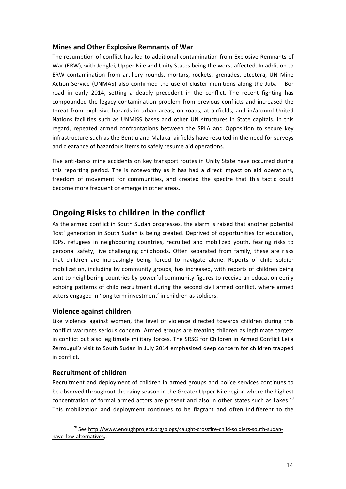#### **Mines and Other Explosive Remnants of War**

The resumption of conflict has led to additional contamination from Explosive Remnants of War (ERW), with Jonglei, Upper Nile and Unity States being the worst affected. In addition to ERW contamination from artillery rounds, mortars, rockets, grenades, etcetera, UN Mine Action Service (UNMAS) also confirmed the use of cluster munitions along the Juba – Bor road in early 2014, setting a deadly precedent in the conflict. The recent fighting has compounded the legacy contamination problem from previous conflicts and increased the threat from explosive hazards in urban areas, on roads, at airfields, and in/around United Nations facilities such as UNMISS bases and other UN structures in State capitals. In this regard, repeated armed confrontations between the SPLA and Opposition to secure key infrastructure such as the Bentiu and Malakal airfields have resulted in the need for surveys and clearance of hazardous items to safely resume aid operations.

Five anti-tanks mine accidents on key transport routes in Unity State have occurred during this reporting period. The is noteworthy as it has had a direct impact on aid operations, freedom of movement for communities, and created the spectre that this tactic could become more frequent or emerge in other areas.

# **Ongoing Risks to children in the conflict**

As the armed conflict in South Sudan progresses, the alarm is raised that another potential 'lost' generation in South Sudan is being created. Deprived of opportunities for education, IDPs, refugees in neighbouring countries, recruited and mobilized youth, fearing risks to personal safety, live challenging childhoods. Often separated from family, these are risks that children are increasingly being forced to navigate alone. Reports of child soldier mobilization, including by community groups, has increased, with reports of children being sent to neighboring countries by powerful community figures to receive an education eerily echoing patterns of child recruitment during the second civil armed conflict, where armed actors engaged in 'long term investment' in children as soldiers.

### **Violence against children**

Like violence against women, the level of violence directed towards children during this conflict warrants serious concern. Armed groups are treating children as legitimate targets in conflict but also legitimate military forces. The SRSG for Children in Armed Conflict Leila Zerrougui's visit to South Sudan in July 2014 emphasized deep concern for children trapped in conflict.

### **Recruitment of children**

Recruitment and deployment of children in armed groups and police services continues to be observed throughout the rainy season in the Greater Upper Nile region where the highest concentration of formal armed actors are present and also in other states such as Lakes.<sup>20</sup> This mobilization and deployment continues to be flagrant and often indifferent to the

<sup>&</sup>lt;sup>20</sup> See http://www.enoughproject.org/blogs/caught-crossfire-child-soldiers-south-sudanhave-few-alternatives,.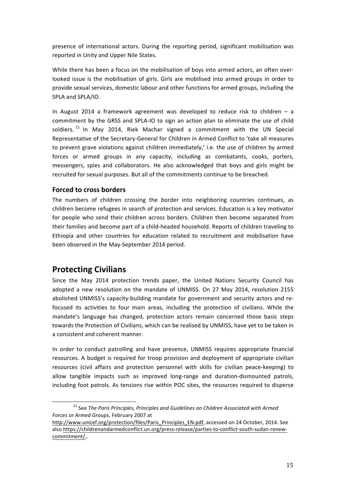presence of international actors. During the reporting period, significant mobilisation was reported in Unity and Upper Nile States.

While there has been a focus on the mobilisation of boys into armed actors, an often overlooked issue is the mobilisation of girls. Girls are mobilised into armed groups in order to provide sexual services, domestic labour and other functions for armed groups, including the SPLA and SPLA/IO.

In August 2014 a framework agreement was developed to reduce risk to children  $-$  a commitment by the GRSS and SPLA-IO to sign an action plan to eliminate the use of child soldiers.<sup>21</sup> In May 2014, Riek Machar signed a commitment with the UN Special Representative of the Secretary-General for Children in Armed Conflict to 'take all measures to prevent grave violations against children immediately,' i.e. the use of children by armed forces or armed groups in any capacity, including as combatants, cooks, porters, messengers, spies and collaborators. He also acknowledged that boys and girls might be recruited for sexual purposes. But all of the commitments continue to be breached.

#### **Forced to cross borders**

The numbers of children crossing the border into neighboring countries continues, as children become refugees in search of protection and services. Education is a key motivator for people who send their children across borders. Children then become separated from their families and become part of a child-headed household. Reports of children traveling to Ethiopia and other countries for education related to recruitment and mobilisation have been observed in the May-September 2014 period.

### **Protecting Civilians**

Since the May 2014 protection trends paper, the United Nations Security Council has adopted a new resolution on the mandate of UNMISS. On 27 May 2014, resolution 2155 abolished UNMISS's capacity-building mandate for government and security actors and refocused its activities to four main areas, including the protection of civilians. While the mandate's language has changed, protection actors remain concerned those basic steps towards the Protection of Civilians, which can be realised by UNMISS, have yet to be taken in a consistent and coherent manner.

In order to conduct patrolling and have presence, UNMISS requires appropriate financial resources. A budget is required for troop provision and deployment of appropriate civilian resources (civil affairs and protection personnel with skills for civilian peace-keeping) to allow tangible impacts such as improved long-range and duration-dismounted patrols, including foot patrols. As tensions rise within POC sites, the resources required to disperse

<sup>&</sup>lt;sup>21</sup> See The Paris Principles, Principles and Guidelines on Children Associated with Armed Forces or Armed Groups, February 2007 at

http://www.unicef.org/protection/files/Paris\_Principles\_EN.pdf, accessed on 24 October, 2014. See also https://childrenandarmedconflict.un.org/press-release/parties-to-conflict-south-sudan-renewcommitment/,.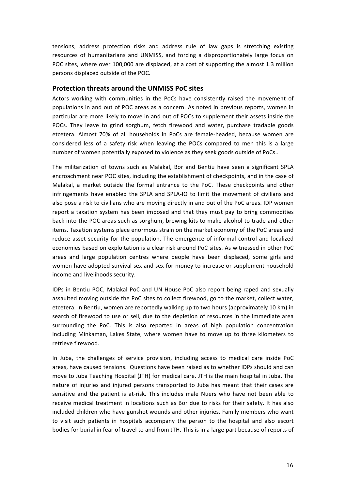tensions, address protection risks and address rule of law gaps is stretching existing resources of humanitarians and UNMISS, and forcing a disproportionately large focus on POC sites, where over 100,000 are displaced, at a cost of supporting the almost 1.3 million persons displaced outside of the POC.

#### **Protection threats around the UNMISS PoC sites**

Actors working with communities in the PoCs have consistently raised the movement of populations in and out of POC areas as a concern. As noted in previous reports, women in particular are more likely to move in and out of POCs to supplement their assets inside the POCs. They leave to grind sorghum, fetch firewood and water, purchase tradable goods etcetera. Almost 70% of all households in PoCs are female-headed, because women are considered less of a safety risk when leaving the POCs compared to men this is a large number of women potentially exposed to violence as they seek goods outside of PoCs..

The militarization of towns such as Malakal, Bor and Bentiu have seen a significant SPLA encroachment near POC sites, including the establishment of checkpoints, and in the case of Malakal, a market outside the formal entrance to the PoC. These checkpoints and other infringements have enabled the SPLA and SPLA-IO to limit the movement of civilians and also pose a risk to civilians who are moving directly in and out of the PoC areas. IDP women report a taxation system has been imposed and that they must pay to bring commodities back into the POC areas such as sorghum, brewing kits to make alcohol to trade and other items. Taxation systems place enormous strain on the market economy of the PoC areas and reduce asset security for the population. The emergence of informal control and localized economies based on exploitation is a clear risk around PoC sites. As witnessed in other PoC areas and large population centres where people have been displaced, some girls and women have adopted survival sex and sex-for-money to increase or supplement household income and livelihoods security.

IDPs in Bentiu POC, Malakal PoC and UN House PoC also report being raped and sexually assaulted moving outside the PoC sites to collect firewood, go to the market, collect water, etcetera. In Bentiu, women are reportedly walking up to two hours (approximately 10 km) in search of firewood to use or sell, due to the depletion of resources in the immediate area surrounding the PoC. This is also reported in areas of high population concentration including Minkaman, Lakes State, where women have to move up to three kilometers to retrieve firewood.

In Juba, the challenges of service provision, including access to medical care inside PoC areas, have caused tensions. Questions have been raised as to whether IDPs should and can move to Juba Teaching Hospital (JTH) for medical care. JTH is the main hospital in Juba. The nature of injuries and injured persons transported to Juba has meant that their cases are sensitive and the patient is at-risk. This includes male Nuers who have not been able to receive medical treatment in locations such as Bor due to risks for their safety. It has also included children who have gunshot wounds and other injuries. Family members who want to visit such patients in hospitals accompany the person to the hospital and also escort bodies for burial in fear of travel to and from JTH. This is in a large part because of reports of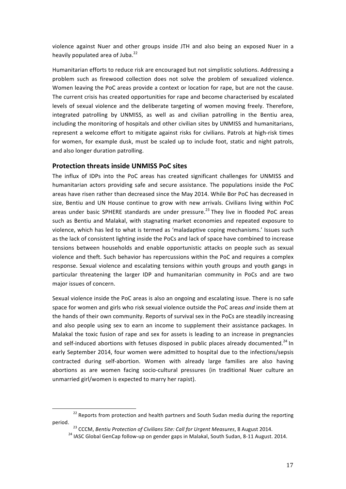violence against Nuer and other groups inside JTH and also being an exposed Nuer in a heavily populated area of Juba.<sup>22</sup>

Humanitarian efforts to reduce risk are encouraged but not simplistic solutions. Addressing a problem such as firewood collection does not solve the problem of sexualized violence. Women leaving the PoC areas provide a context or location for rape, but are not the cause. The current crisis has created opportunities for rape and become characterised by escalated levels of sexual violence and the deliberate targeting of women moving freely. Therefore, integrated patrolling by UNMISS, as well as and civilian patrolling in the Bentiu area, including the monitoring of hospitals and other civilian sites by UNMISS and humanitarians, represent a welcome effort to mitigate against risks for civilians. Patrols at high-risk times for women, for example dusk, must be scaled up to include foot, static and night patrols, and also longer duration patrolling.

#### **Protection threats inside UNMISS PoC sites**

The influx of IDPs into the PoC areas has created significant challenges for UNMISS and humanitarian actors providing safe and secure assistance. The populations inside the PoC areas have risen rather than decreased since the May 2014. While Bor PoC has decreased in size, Bentiu and UN House continue to grow with new arrivals. Civilians living within PoC areas under basic SPHERE standards are under pressure.<sup>23</sup> They live in flooded PoC areas such as Bentiu and Malakal, with stagnating market economies and repeated exposure to violence, which has led to what is termed as 'maladaptive coping mechanisms.' Issues such as the lack of consistent lighting inside the PoCs and lack of space have combined to increase tensions between households and enable opportunistic attacks on people such as sexual violence and theft. Such behavior has repercussions within the PoC and requires a complex response. Sexual violence and escalating tensions within youth groups and youth gangs in particular threatening the larger IDP and humanitarian community in PoCs and are two major issues of concern.

Sexual violence inside the PoC areas is also an ongoing and escalating issue. There is no safe space for women and girls who risk sexual violence outside the PoC areas and inside them at the hands of their own community. Reports of survival sex in the PoCs are steadily increasing and also people using sex to earn an income to supplement their assistance packages. In Malakal the toxic fusion of rape and sex for assets is leading to an increase in pregnancies and self-induced abortions with fetuses disposed in public places already documented.<sup>24</sup> In early September 2014, four women were admitted to hospital due to the infections/sepsis contracted during self-abortion. Women with already large families are also having abortions as are women facing socio-cultural pressures (in traditional Nuer culture an unmarried girl/women is expected to marry her rapist).

 $22$  Reports from protection and health partners and South Sudan media during the reporting period.<br><sup>23</sup> CCCM, *Bentiu Protection of Civilians Site: Call for Urgent Measures*, 8 August 2014.<br><sup>24</sup> IASC Global GenCap follow-up on gender gaps in Malakal, South Sudan, 8-11 August. 2014.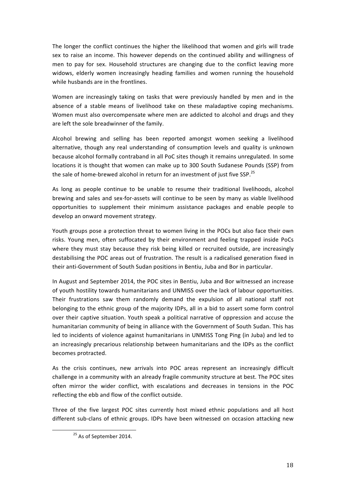The longer the conflict continues the higher the likelihood that women and girls will trade sex to raise an income. This however depends on the continued ability and willingness of men to pay for sex. Household structures are changing due to the conflict leaving more widows, elderly women increasingly heading families and women running the household while husbands are in the frontlines.

Women are increasingly taking on tasks that were previously handled by men and in the absence of a stable means of livelihood take on these maladaptive coping mechanisms. Women must also overcompensate where men are addicted to alcohol and drugs and they are left the sole breadwinner of the family.

Alcohol brewing and selling has been reported amongst women seeking a livelihood alternative, though any real understanding of consumption levels and quality is unknown because alcohol formally contraband in all PoC sites though it remains unregulated. In some locations it is thought that women can make up to 300 South Sudanese Pounds (SSP) from the sale of home-brewed alcohol in return for an investment of just five SSP.<sup>25</sup>

As long as people continue to be unable to resume their traditional livelihoods, alcohol brewing and sales and sex-for-assets will continue to be seen by many as viable livelihood opportunities to supplement their minimum assistance packages and enable people to develop an onward movement strategy.

Youth groups pose a protection threat to women living in the POCs but also face their own risks. Young men, often suffocated by their environment and feeling trapped inside PoCs where they must stay because they risk being killed or recruited outside, are increasingly destabilising the POC areas out of frustration. The result is a radicalised generation fixed in their anti-Government of South Sudan positions in Bentiu, Juba and Bor in particular.

In August and September 2014, the POC sites in Bentiu, Juba and Bor witnessed an increase of youth hostility towards humanitarians and UNMISS over the lack of labour opportunities. Their frustrations saw them randomly demand the expulsion of all national staff not belonging to the ethnic group of the majority IDPs, all in a bid to assert some form control over their captive situation. Youth speak a political narrative of oppression and accuse the humanitarian community of being in alliance with the Government of South Sudan. This has led to incidents of violence against humanitarians in UNMISS Tong Ping (in Juba) and led to an increasingly precarious relationship between humanitarians and the IDPs as the conflict becomes protracted.

As the crisis continues, new arrivals into POC areas represent an increasingly difficult challenge in a community with an already fragile community structure at best. The POC sites often mirror the wider conflict, with escalations and decreases in tensions in the POC reflecting the ebb and flow of the conflict outside.

Three of the five largest POC sites currently host mixed ethnic populations and all host different sub-clans of ethnic groups. IDPs have been witnessed on occasion attacking new

 $25$  As of September 2014.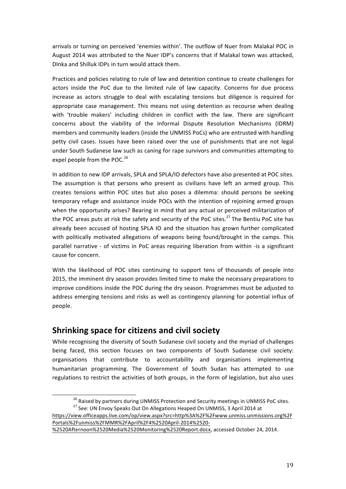arrivals or turning on perceived 'enemies within'. The outflow of Nuer from Malakal POC in August 2014 was attributed to the Nuer IDP's concerns that if Malakal town was attacked, DInka and Shilluk IDPs in turn would attack them.

Practices and policies relating to rule of law and detention continue to create challenges for actors inside the PoC due to the limited rule of law capacity. Concerns for due process increase as actors struggle to deal with escalating tensions but diligence is required for appropriate case management. This means not using detention as recourse when dealing with 'trouble makers' including children in conflict with the law. There are significant concerns about the viability of the Informal Dispute Resolution Mechanisms (IDRM) members and community leaders (inside the UNMISS PoCs) who are entrusted with handling petty civil cases. Issues have been raised over the use of punishments that are not legal under South Sudanese law such as caning for rape survivors and communities attempting to expel people from the POC. $^{26}$ 

In addition to new IDP arrivals, SPLA and SPLA/IO defectors have also presented at POC sites. The assumption is that persons who present as civilians have left an armed group. This creates tensions within POC sites but also poses a dilemma: should persons be seeking temporary refuge and assistance inside POCs with the intention of rejoining armed groups when the opportunity arises? Bearing in mind that any actual or perceived militarization of the POC areas puts at risk the safety and security of the PoC sites.<sup>27</sup> The Bentiu PoC site has already been accused of hosting SPLA IO and the situation has grown further complicated with politically motivated allegations of weapons being found/brought in the camps. This parallel narrative - of victims in PoC areas requiring liberation from within -is a significant cause for concern.

With the likelihood of POC sites continuing to support tens of thousands of people into 2015, the imminent dry season provides limited time to make the necessary preparations to improve conditions inside the POC during the dry season. Programmes must be adjusted to address emerging tensions and risks as well as contingency planning for potential influx of people. 

## **Shrinking space for citizens and civil society**

While recognising the diversity of South Sudanese civil society and the myriad of challenges being faced, this section focuses on two components of South Sudanese civil society: organisations that contribute to accountability and organisations implementing humanitarian programming. The Government of South Sudan has attempted to use regulations to restrict the activities of both groups, in the form of legislation, but also uses

<sup>&</sup>lt;sup>26</sup> Raised by partners during UNMISS Protection and Security meetings in UNMISS PoC sites.<br><sup>27</sup> See: UN Envoy Speaks Out On Allegations Heaped On UNMISS, 3 April 2014 at

https://view.officeapps.live.com/op/view.aspx?src=http%3A%2F%2Fwww.unmiss.unmissions.org%2F Portals%2Funmiss%2FMMR%2FApril%2F4%2520April-2014%2520-

<sup>%2520</sup>Afternoon%2520Media%2520Monitoring%2520Report.docx, accessed October 24, 2014.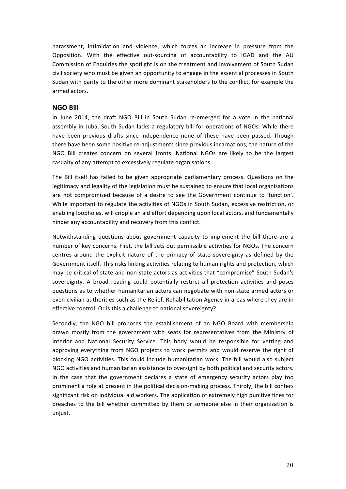harassment, intimidation and violence, which forces an increase in pressure from the Opposition. With the effective out-sourcing of accountability to IGAD and the AU Commission of Enquiries the spotlight is on the treatment and involvement of South Sudan civil society who must be given an opportunity to engage in the essential processes in South Sudan with parity to the other more dominant stakeholders to the conflict, for example the armed actors.

#### **NGO Bill**

In June 2014, the draft NGO Bill in South Sudan re-emerged for a vote in the national assembly in Juba. South Sudan lacks a regulatory bill for operations of NGOs. While there have been previous drafts since independence none of these have been passed. Though there have been some positive re-adjustments since previous incarnations, the nature of the NGO Bill creates concern on several fronts. National NGOs are likely to be the largest casualty of any attempt to excessively regulate organisations.

The Bill itself has failed to be given appropriate parliamentary process. Questions on the legitimacy and legality of the legislation must be sustained to ensure that local organisations are not compromised because of a desire to see the Government continue to 'function'. While important to regulate the activities of NGOs in South Sudan, excessive restriction, or enabling loopholes, will cripple an aid effort depending upon local actors, and fundamentally hinder any accountability and recovery from this conflict.

Notwithstanding questions about government capacity to implement the bill there are a number of key concerns. First, the bill sets out permissible activities for NGOs. The concern centres around the explicit nature of the primacy of state sovereignty as defined by the Government itself. This risks linking activities relating to human rights and protection, which may be critical of state and non-state actors as activities that "compromise" South Sudan's sovereignty. A broad reading could potentially restrict all protection activities and poses questions as to whether humanitarian actors can negotiate with non-state armed actors or even civilian authorities such as the Relief, Rehabilitation Agency in areas where they are in effective control. Or is this a challenge to national sovereignty?

Secondly, the NGO bill proposes the establishment of an NGO Board with membership drawn mostly from the government with seats for representatives from the Ministry of Interior and National Security Service. This body would be responsible for vetting and approving everything from NGO projects to work permits and would reserve the right of blocking NGO activities. This could include humanitarian work. The bill would also subject NGO activities and humanitarian assistance to oversight by both political and security actors. In the case that the government declares a state of emergency security actors play too prominent a role at present in the political decision-making process. Thirdly, the bill confers significant risk on individual aid workers. The application of extremely high punitive fines for breaches to the bill whether committed by them or someone else in their organization is unjust.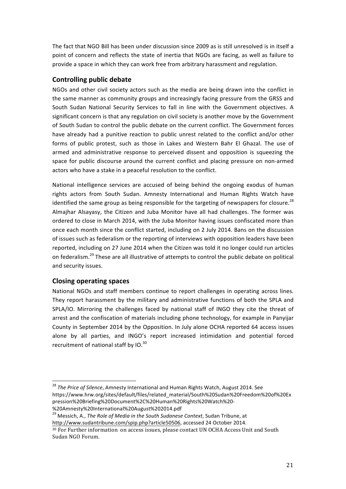The fact that NGO Bill has been under discussion since 2009 as is still unresolved is in itself a point of concern and reflects the state of inertia that NGOs are facing, as well as failure to provide a space in which they can work free from arbitrary harassment and regulation.

#### **Controlling public debate**

NGOs and other civil society actors such as the media are being drawn into the conflict in the same manner as community groups and increasingly facing pressure from the GRSS and South Sudan National Security Services to fall in line with the Government objectives. A significant concern is that any regulation on civil society is another move by the Government of South Sudan to control the public debate on the current conflict. The Government forces have already had a punitive reaction to public unrest related to the conflict and/or other forms of public protest, such as those in Lakes and Western Bahr El Ghazal. The use of armed and administrative response to perceived dissent and opposition is squeezing the space for public discourse around the current conflict and placing pressure on non-armed actors who have a stake in a peaceful resolution to the conflict.

National intelligence services are accused of being behind the ongoing exodus of human rights actors from South Sudan. Amnesty International and Human Rights Watch have identified the same group as being responsible for the targeting of newspapers for closure.<sup>28</sup> Almajhar Alsayasy, the Citizen and Juba Monitor have all had challenges. The former was ordered to close in March 2014, with the Juba Monitor having issues confiscated more than once each month since the conflict started, including on 2 July 2014. Bans on the discussion of issues such as federalism or the reporting of interviews with opposition leaders have been reported, including on 27 June 2014 when the Citizen was told it no longer could run articles on federalism.<sup>29</sup> These are all illustrative of attempts to control the public debate on political and security issues.

#### **Closing operating spaces**

National NGOs and staff members continue to report challenges in operating across lines. They report harassment by the military and administrative functions of both the SPLA and SPLA/IO. Mirroring the challenges faced by national staff of INGO they cite the threat of arrest and the confiscation of materials including phone technology, for example in Panyijar County in September 2014 by the Opposition. In July alone OCHA reported 64 access issues alone by all parties, and INGO's report increased intimidation and potential forced recruitment of national staff by  $IO.^{30}$ 

<sup>29</sup> Messich, A., *The Role of Media in the South Sudanese Context*, Sudan Tribune, at http://www.sudantribune.com/spip.php?article50506, accessed 24 October 2014.

<sup>&</sup>lt;sup>28</sup> The Price of Silence, Amnesty International and Human Rights Watch, August 2014. See https://www.hrw.org/sites/default/files/related\_material/South%20Sudan%20Freedom%20of%20Ex pression%20Briefing%20Document%2C%20Human%20Rights%20Watch%20-

<sup>%20</sup>Amnesty%20International%20August%202014.pdf

<sup>30</sup> For Further information on access issues, please contact UN OCHA Access Unit and South Sudan NGO Forum.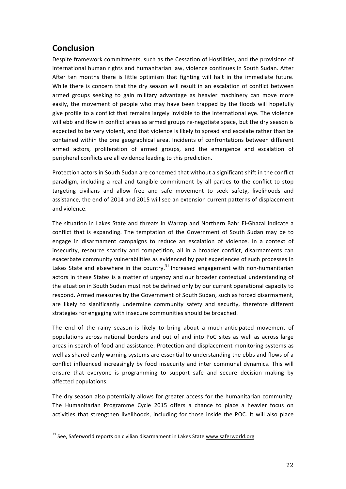# **Conclusion**

Despite framework commitments, such as the Cessation of Hostilities, and the provisions of international human rights and humanitarian law, violence continues in South Sudan. After After ten months there is little optimism that fighting will halt in the immediate future. While there is concern that the dry season will result in an escalation of conflict between armed groups seeking to gain military advantage as heavier machinery can move more easily, the movement of people who may have been trapped by the floods will hopefully give profile to a conflict that remains largely invisible to the international eye. The violence will ebb and flow in conflict areas as armed groups re-negotiate space, but the dry season is expected to be very violent, and that violence is likely to spread and escalate rather than be contained within the one geographical area. Incidents of confrontations between different armed actors, proliferation of armed groups, and the emergence and escalation of peripheral conflicts are all evidence leading to this prediction.

Protection actors in South Sudan are concerned that without a significant shift in the conflict paradigm, including a real and tangible commitment by all parties to the conflict to stop targeting civilians and allow free and safe movement to seek safety, livelihoods and assistance, the end of 2014 and 2015 will see an extension current patterns of displacement and violence. 

The situation in Lakes State and threats in Warrap and Northern Bahr El-Ghazal indicate a conflict that is expanding. The temptation of the Government of South Sudan may be to engage in disarmament campaigns to reduce an escalation of violence. In a context of insecurity, resource scarcity and competition, all in a broader conflict, disarmaments can exacerbate community vulnerabilities as evidenced by past experiences of such processes in Lakes State and elsewhere in the country.<sup>31</sup> Increased engagement with non-humanitarian actors in these States is a matter of urgency and our broader contextual understanding of the situation in South Sudan must not be defined only by our current operational capacity to respond. Armed measures by the Government of South Sudan, such as forced disarmament, are likely to significantly undermine community safety and security, therefore different strategies for engaging with insecure communities should be broached.

The end of the rainy season is likely to bring about a much-anticipated movement of populations across national borders and out of and into PoC sites as well as across large areas in search of food and assistance. Protection and displacement monitoring systems as well as shared early warning systems are essential to understanding the ebbs and flows of a conflict influenced increasingly by food insecurity and inter communal dynamics. This will ensure that everyone is programming to support safe and secure decision making by affected populations.

The dry season also potentially allows for greater access for the humanitarian community. The Humanitarian Programme Cycle 2015 offers a chance to place a heavier focus on activities that strengthen livelihoods, including for those inside the POC. It will also place

 $31$  See, Saferworld reports on civilian disarmament in Lakes State  $\underline{www.saferworld.org}$